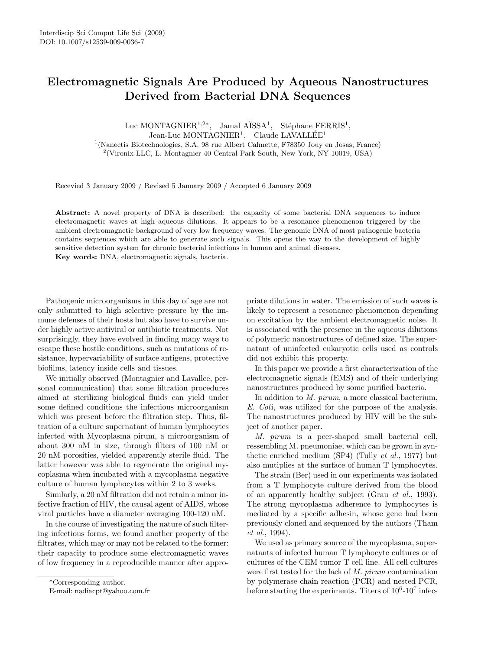# Electromagnetic Signals Are Produced by Aqueous Nanostructures Derived from Bacterial DNA Sequences

Luc MONTAGNIER<sup>1,2\*</sup>, Jamal A $\text{ISSA}^1$ , Stéphane FERRIS<sup>1</sup>, Jean-Luc MONTAGNIER<sup>1</sup>, Claude LAVALLÉE<sup>1</sup> <sup>1</sup>(Nanectis Biotechnologies, S.A. 98 rue Albert Calmette, F78350 Jouy en Josas, France) 2 (Vironix LLC, L. Montagnier 40 Central Park South, New York, NY 10019, USA)

Recevied 3 January 2009 / Revised 5 January 2009 / Accepted 6 January 2009

Abstract: A novel property of DNA is described: the capacity of some bacterial DNA sequences to induce electromagnetic waves at high aqueous dilutions. It appears to be a resonance phenomenon triggered by the ambient electromagnetic background of very low frequency waves. The genomic DNA of most pathogenic bacteria contains sequences which are able to generate such signals. This opens the way to the development of highly sensitive detection system for chronic bacterial infections in human and animal diseases. Key words: DNA, electromagnetic signals, bacteria.

Pathogenic microorganisms in this day of age are not only submitted to high selective pressure by the immune defenses of their hosts but also have to survive under highly active antiviral or antibiotic treatments. Not surprisingly, they have evolved in finding many ways to escape these hostile conditions, such as mutations of resistance, hypervariability of surface antigens, protective biofilms, latency inside cells and tissues.

We initially observed (Montagnier and Lavallee, personal communication) that some filtration procedures aimed at sterilizing biological fluids can yield under some defined conditions the infectious microorganism which was present before the filtration step. Thus, filtration of a culture supernatant of human lymphocytes infected with Mycoplasma pirum, a microorganism of about 300 nM in size, through filters of 100 nM or 20 nM porosities, yielded apparently sterile fluid. The latter however was able to regenerate the original mycoplasma when incubated with a mycoplasma negative culture of human lymphocytes within 2 to 3 weeks.

Similarly, a 20 nM filtration did not retain a minor infective fraction of HIV, the causal agent of AIDS, whose viral particles have a diameter averaging 100-120 nM.

In the course of investigating the nature of such filtering infectious forms, we found another property of the filtrates, which may or may not be related to the former: their capacity to produce some electromagnetic waves of low frequency in a reproducible manner after appro-

\*Corresponding author.

E-mail: nadiacpt@yahoo.com.fr

priate dilutions in water. The emission of such waves is likely to represent a resonance phenomenon depending on excitation by the ambient electromagnetic noise. It is associated with the presence in the aqueous dilutions of polymeric nanostructures of defined size. The supernatant of uninfected eukaryotic cells used as controls did not exhibit this property.

In this paper we provide a first characterization of the electromagnetic signals (EMS) and of their underlying nanostructures produced by some purified bacteria.

In addition to M. pirum, a more classical bacterium, E. Coli, was utilized for the purpose of the analysis. The nanostructures produced by HIV will be the subject of another paper.

M. pirum is a peer-shaped small bacterial cell, ressembling M. pneumoniae, which can be grown in synthetic enriched medium  $(SP4)$  (Tully *et al.*, 1977) but also mutiplies at the surface of human T lymphocytes.

The strain (Ber) used in our experiments was isolated from a T lymphocyte culture derived from the blood of an apparently healthy subject (Grau et al., 1993). The strong mycoplasma adherence to lymphocytes is mediated by a specific adhesin, whose gene had been previously cloned and sequenced by the authors (Tham et al., 1994).

We used as primary source of the mycoplasma, supernatants of infected human T lymphocyte cultures or of cultures of the CEM tumor T cell line. All cell cultures were first tested for the lack of M. pirum contamination by polymerase chain reaction (PCR) and nested PCR, before starting the experiments. Titers of  $10^6$ - $10^7$  infec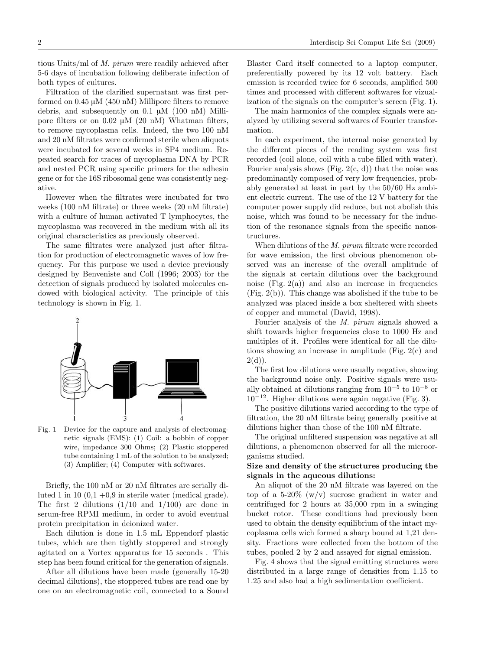tious Units/ml of M. pirum were readily achieved after 5-6 days of incubation following deliberate infection of both types of cultures.

Filtration of the clarified supernatant was first performed on 0.45 µM (450 nM) Millipore filters to remove debris, and subsequently on 0.1 µM (100 nM) Millipore filters or on  $0.02 \mu M$  (20 nM) Whatman filters, to remove mycoplasma cells. Indeed, the two 100 nM and 20 nM filtrates were confirmed sterile when aliquots were incubated for several weeks in SP4 medium. Repeated search for traces of mycoplasma DNA by PCR and nested PCR using specific primers for the adhesin gene or for the 16S ribosomal gene was consistently negative.

However when the filtrates were incubated for two weeks (100 nM filtrate) or three weeks (20 nM filtrate) with a culture of human activated T lymphocytes, the mycoplasma was recovered in the medium with all its original characteristics as previously observed.

The same filtrates were analyzed just after filtration for production of electromagnetic waves of low frequency. For this purpose we used a device previously designed by Benveniste and Coll (1996; 2003) for the detection of signals produced by isolated molecules endowed with biological activity. The principle of this technology is shown in Fig. 1.



Fig. 1 Device for the capture and analysis of electromagnetic signals (EMS): (1) Coil: a bobbin of copper wire, impedance 300 Ohms; (2) Plastic stoppered tube containing 1 mL of the solution to be analyzed; (3) Amplifier; (4) Computer with softwares.

Briefly, the 100 nM or 20 nM filtrates are serially diluted 1 in 10  $(0,1 +0,9)$  in sterile water (medical grade). The first 2 dilutions (1/10 and 1/100) are done in serum-free RPMI medium, in order to avoid eventual protein precipitation in deionized water.

Each dilution is done in 1.5 mL Eppendorf plastic tubes, which are then tightly stoppered and strongly agitated on a Vortex apparatus for 15 seconds . This step has been found critical for the generation of signals.

After all dilutions have been made (generally 15-20 decimal dilutions), the stoppered tubes are read one by one on an electromagnetic coil, connected to a Sound

Blaster Card itself connected to a laptop computer, preferentially powered by its 12 volt battery. Each emission is recorded twice for 6 seconds, amplified 500 times and processed with different softwares for vizualization of the signals on the computer's screen (Fig. 1).

The main harmonics of the complex signals were analyzed by utilizing several softwares of Fourier transformation.

In each experiment, the internal noise generated by the different pieces of the reading system was first recorded (coil alone, coil with a tube filled with water). Fourier analysis shows (Fig.  $2(c, d)$ ) that the noise was predominantly composed of very low frequencies, probably generated at least in part by the 50/60 Hz ambient electric current. The use of the 12 V battery for the computer power supply did reduce, but not abolish this noise, which was found to be necessary for the induction of the resonance signals from the specific nanostructures.

When dilutions of the M. pirum filtrate were recorded for wave emission, the first obvious phenomenon observed was an increase of the overall amplitude of the signals at certain dilutions over the background noise  $(Fig, 2(a))$  and also an increase in frequencies (Fig. 2(b)). This change was abolished if the tube to be analyzed was placed inside a box sheltered with sheets of copper and mumetal (David, 1998).

Fourier analysis of the M. pirum signals showed a shift towards higher frequencies close to 1000 Hz and multiples of it. Profiles were identical for all the dilutions showing an increase in amplitude (Fig. 2(c) and  $2(d)$ ).

The first low dilutions were usually negative, showing the background noise only. Positive signals were usually obtained at dilutions ranging from  $10^{-5}$  to  $10^{-8}$  or  $10^{-12}$ . Higher dilutions were again negative (Fig. 3).

The positive dilutions varied according to the type of filtration, the 20 nM filtrate being generally positive at dilutions higher than those of the 100 nM filtrate.

The original unfiltered suspension was negative at all dilutions, a phenomenon observed for all the microorganisms studied.

### Size and density of the structures producing the signals in the aqueous dilutions:

An aliquot of the 20 nM filtrate was layered on the top of a  $5{\text -}20\%$  (w/v) sucrose gradient in water and centrifuged for 2 hours at 35,000 rpm in a swinging bucket rotor. These conditions had previously been used to obtain the density equilibrium of the intact mycoplasma cells wich formed a sharp bound at 1,21 density. Fractions were collected from the bottom of the tubes, pooled 2 by 2 and assayed for signal emission.

Fig. 4 shows that the signal emitting structures were distributed in a large range of densities from 1.15 to 1.25 and also had a high sedimentation coefficient.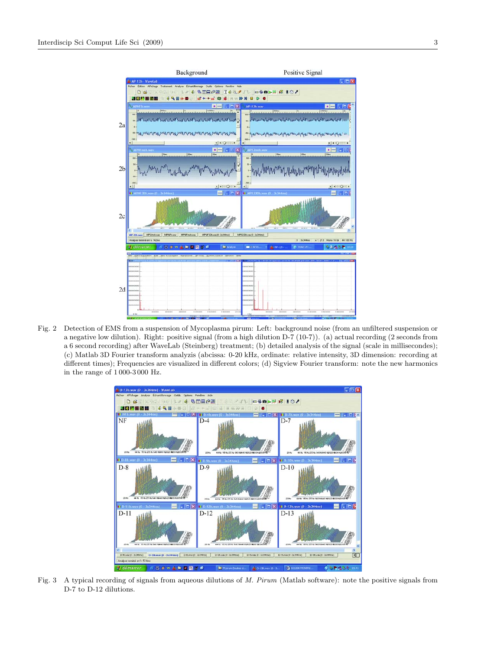

Fig. 2 Detection of EMS from a suspension of Mycoplasma pirum: Left: background noise (from an unfiltered suspension or a negative low dilution). Right: positive signal (from a high dilution D-7 (10-7)). (a) actual recording (2 seconds from a 6 second recording) after WaveLab (Steinberg) treatment; (b) detailed analysis of the signal (scale in millisecondes); (c) Matlab 3D Fourier transform analyzis (abcissa: 0-20 kHz, ordinate: relative intensity, 3D dimension: recording at different times); Frequencies are visualized in different colors; (d) Sigview Fourier transform: note the new harmonics in the range of 1 000-3 000 Hz.



Fig. 3 A typical recording of signals from aqueous dilutions of M. Pirum (Matlab software): note the positive signals from D-7 to D-12 dilutions.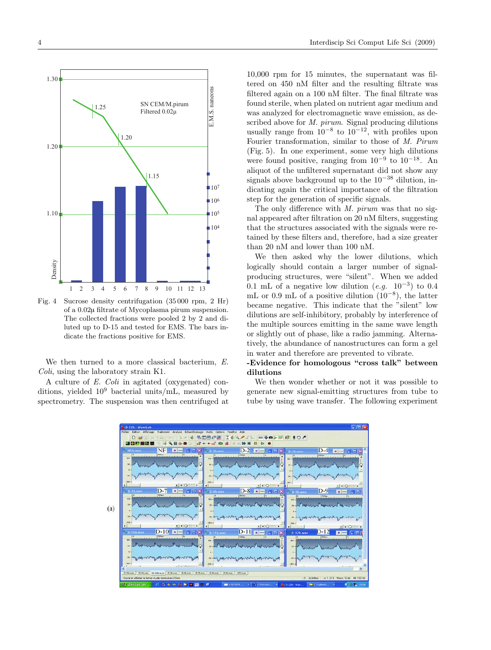

Fig. 4 Sucrose density centrifugation (35 000 rpm, 2 Hr) of a 0.02µ filtrate of Mycoplasma pirum suspension. The collected fractions were pooled 2 by 2 and diluted up to D-15 and tested for EMS. The bars indicate the fractions positive for EMS.

We then turned to a more classical bacterium, E. Coli, using the laboratory strain K1.

A culture of E. Coli in agitated (oxygenated) conditions, yielded  $10^9$  bacterial units/mL, measured by spectrometry. The suspension was then centrifuged at

10,000 rpm for 15 minutes, the supernatant was filtered on 450 nM filter and the resulting filtrate was filtered again on a 100 nM filter. The final filtrate was found sterile, when plated on nutrient agar medium and was analyzed for electromagnetic wave emission, as described above for *M. pirum.* Signal producing dilutions usually range from  $10^{-8}$  to  $10^{-12}$ , with profiles upon Fourier transformation, similar to those of M. Pirum (Fig. 5). In one experiment, some very high dilutions were found positive, ranging from  $10^{-9}$  to  $10^{-18}$ . An aliquot of the unfiltered supernatant did not show any signals above background up to the  $10^{-38}$  dilution, indicating again the critical importance of the filtration step for the generation of specific signals.

The only difference with M. pirum was that no signal appeared after filtration on 20 nM filters, suggesting that the structures associated with the signals were retained by these filters and, therefore, had a size greater than 20 nM and lower than 100 nM.

We then asked why the lower dilutions, which logically should contain a larger number of signalproducing structures, were "silent". When we added 0.1 mL of a negative low dilution  $(e.g. 10^{-3})$  to 0.4 mL or 0.9 mL of a positive dilution  $(10^{-8})$ , the latter became negative. This indicate that the "silent" low dilutions are self-inhibitory, probably by interference of the multiple sources emitting in the same wave length or slightly out of phase, like a radio jamming. Alternatively, the abundance of nanostructures can form a gel in water and therefore are prevented to vibrate.

## -Evidence for homologous "cross talk" between dilutions

We then wonder whether or not it was possible to generate new signal-emitting structures from tube to tube by using wave transfer. The following experiment

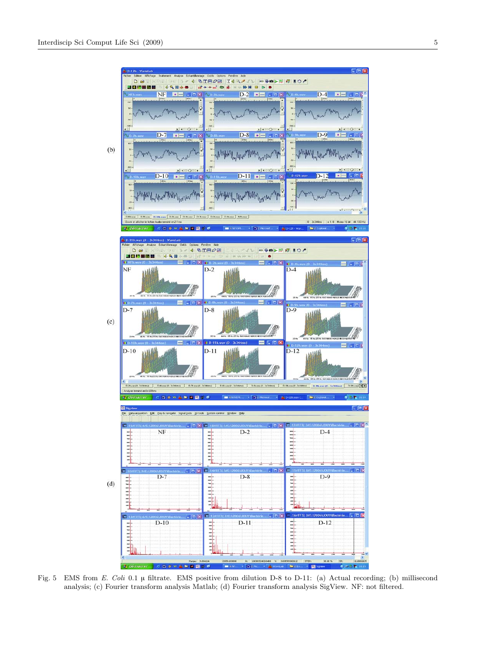

Fig. 5 EMS from E. Coli 0.1 µ filtrate. EMS positive from dilution D-8 to D-11: (a) Actual recording; (b) millisecond analysis; (c) Fourier transform analysis Matlab; (d) Fourier transform analysis SigView. NF: not filtered.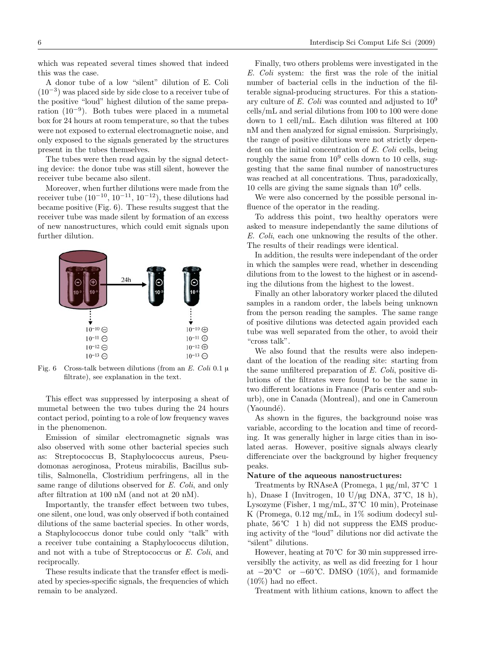which was repeated several times showed that indeed this was the case.

A donor tube of a low "silent" dilution of E. Coli (10<sup>−</sup><sup>3</sup> ) was placed side by side close to a receiver tube of the positive "loud" highest dilution of the same preparation  $(10^{-9})$ . Both tubes were placed in a mumetal box for 24 hours at room temperature, so that the tubes were not exposed to external electromagnetic noise, and only exposed to the signals generated by the structures present in the tubes themselves.

The tubes were then read again by the signal detecting device: the donor tube was still silent, however the receiver tube became also silent.

Moreover, when further dilutions were made from the receiver tube  $(10^{-10}, 10^{-11}, 10^{-12})$ , these dilutions had became positive (Fig. 6). These results suggest that the receiver tube was made silent by formation of an excess of new nanostructures, which could emit signals upon further dilution.



Fig. 6 Cross-talk between dilutions (from an E. Coli 0.1 u filtrate), see explanation in the text.

This effect was suppressed by interposing a sheat of mumetal between the two tubes during the 24 hours contact period, pointing to a role of low frequency waves in the phenomenon.

Emission of similar electromagnetic signals was also observed with some other bacterial species such as: Streptococcus B, Staphylococcus aureus, Pseudomonas aeroginosa, Proteus mirabilis, Bacillus subtilis, Salmonella, Clostridium perfringens, all in the same range of dilutions observed for E. Coli, and only after filtration at 100 nM (and not at 20 nM).

Importantly, the transfer effect between two tubes, one silent, one loud, was only observed if both contained dilutions of the same bacterial species. In other words, a Staphylococcus donor tube could only "talk" with a receiver tube containing a Staphylococcus dilution, and not with a tube of Streptococcus or E. Coli, and reciprocally.

These results indicate that the transfer effect is mediated by species-specific signals, the frequencies of which remain to be analyzed.

Finally, two others problems were investigated in the E. Coli system: the first was the role of the initial number of bacterial cells in the induction of the filterable signal-producing structures. For this a stationary culture of E. Coli was counted and adjusted to  $10^9$ cells/mL and serial dilutions from 100 to 100 were done down to 1 cell/mL. Each dilution was filtered at 100 nM and then analyzed for signal emission. Surprisingly, the range of positive dilutions were not strictly dependent on the initial concentration of E. Coli cells, being roughly the same from  $10^9$  cells down to 10 cells, suggesting that the same final number of nanostructures was reached at all concentrations. Thus, paradoxically, 10 cells are giving the same signals than  $10<sup>9</sup>$  cells.

We were also concerned by the possible personal influence of the operator in the reading.

To address this point, two healthy operators were asked to measure independantly the same dilutions of E. Coli, each one unknowing the results of the other. The results of their readings were identical.

In addition, the results were independant of the order in which the samples were read, whether in descending dilutions from to the lowest to the highest or in ascending the dilutions from the highest to the lowest.

Finally an other laboratory worker placed the diluted samples in a random order, the labels being unknown from the person reading the samples. The same range of positive dilutions was detected again provided each tube was well separated from the other, to avoid their "cross talk".

We also found that the results were also independant of the location of the reading site: starting from the same unfiltered preparation of E. Coli, positive dilutions of the filtrates were found to be the same in two different locations in France (Paris center and suburb), one in Canada (Montreal), and one in Cameroun  $(Yaoundé)$ .

As shown in the figures, the background noise was variable, according to the location and time of recording. It was generally higher in large cities than in isolated aeras. However, positive signals always clearly differenciate over the background by higher frequency peaks.

#### Nature of the aqueous nanostructures:

Treatments by RNAseA (Promega, 1 µg/ml, 37 ℃ 1 h), Dnase I (Invitrogen, 10 U/µg DNA, 37 $\degree$ C, 18 h), Lysozyme (Fisher, 1 mg/mL, 37 ℃ 10 min), Proteinase K (Promega,  $0.12 \text{ mg/mL}$ , in  $1\%$  sodium dodecyl sulphate, 56 ℃ 1 h) did not suppress the EMS producing activity of the "loud" dilutions nor did activate the "silent" dilutions.

However, heating at 70 ℃ for 30 min suppressed irreversiblly the activity, as well as did freezing for 1 hour at  $-20^{\circ}\text{C}$  or  $-60^{\circ}\text{C}$ . DMSO (10%), and formamide  $(10\%)$  had no effect.

Treatment with lithium cations, known to affect the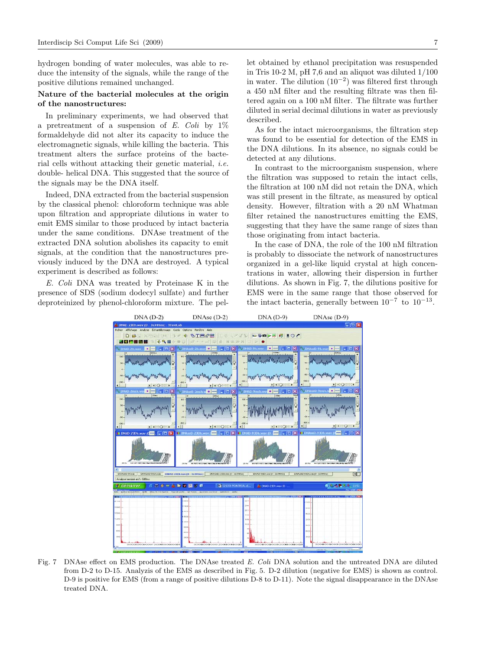hydrogen bonding of water molecules, was able to reduce the intensity of the signals, while the range of the positive dilutions remained unchanged.

#### Nature of the bacterial molecules at the origin of the nanostructures:

In preliminary experiments, we had observed that a pretreatment of a suspension of E. Coli by  $1\%$ formaldehyde did not alter its capacity to induce the electromagnetic signals, while killing the bacteria. This treatment alters the surface proteins of the bacterial cells without attacking their genetic material, i.e. double- helical DNA. This suggested that the source of the signals may be the DNA itself.

Indeed, DNA extracted from the bacterial suspension by the classical phenol: chloroform technique was able upon filtration and appropriate dilutions in water to emit EMS similar to those produced by intact bacteria under the same conditions. DNAse treatment of the extracted DNA solution abolishes its capacity to emit signals, at the condition that the nanostructures previously induced by the DNA are destroyed. A typical experiment is described as follows:

E. Coli DNA was treated by Proteinase K in the presence of SDS (sodium dodecyl sulfate) and further deproteinized by phenol-chloroform mixture. The pel-

let obtained by ethanol precipitation was resuspended in Tris 10-2 M, pH 7,6 and an aliquot was diluted 1/100 in water. The dilution  $(10^{-2})$  was filtered first through a 450 nM filter and the resulting filtrate was then filtered again on a 100 nM filter. The filtrate was further diluted in serial decimal dilutions in water as previously described.

As for the intact microorganisms, the filtration step was found to be essential for detection of the EMS in the DNA dilutions. In its absence, no signals could be detected at any dilutions.

In contrast to the microorganism suspension, where the filtration was supposed to retain the intact cells, the filtration at 100 nM did not retain the DNA, which was still present in the filtrate, as measured by optical density. However, filtration with a 20 nM Whatman filter retained the nanostructures emitting the EMS, suggesting that they have the same range of sizes than those originating from intact bacteria.

In the case of DNA, the role of the 100 nM filtration is probably to dissociate the network of nanostructures organized in a gel-like liquid crystal at high concentrations in water, allowing their dispersion in further dilutions. As shown in Fig. 7, the dilutions positive for EMS were in the same range that those observed for the intact bacteria, generally between  $10^{-7}$  to  $10^{-13}$ .



Fig. 7 DNAse effect on EMS production. The DNAse treated E. Coli DNA solution and the untreated DNA are diluted from D-2 to D-15. Analyzis of the EMS as described in Fig. 5. D-2 dilution (negative for EMS) is shown as control. D-9 is positive for EMS (from a range of positive dilutions D-8 to D-11). Note the signal disappearance in the DNAse treated DNA.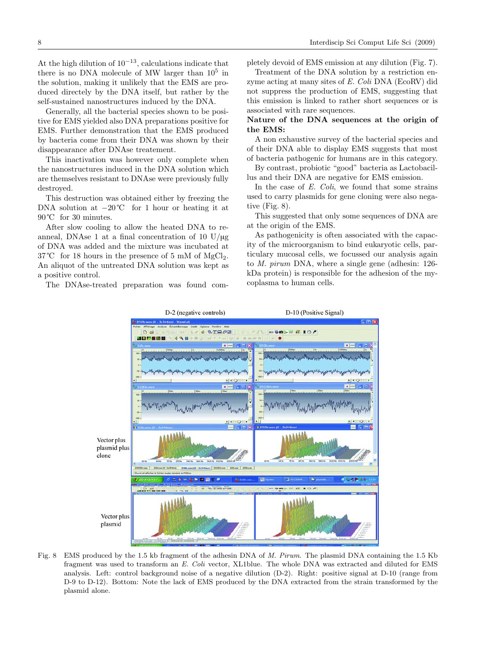At the high dilution of  $10^{-13}$ , calculations indicate that there is no DNA molecule of MW larger than  $10^5$  in the solution, making it unlikely that the EMS are produced directely by the DNA itself, but rather by the self-sustained nanostructures induced by the DNA.

Generally, all the bacterial species shown to be positive for EMS yielded also DNA preparations positive for EMS. Further demonstration that the EMS produced by bacteria come from their DNA was shown by their disappearance after DNAse treatement.

This inactivation was however only complete when the nanostructures induced in the DNA solution which are themselves resistant to DNAse were previously fully destroyed.

This destruction was obtained either by freezing the DNA solution at  $-20^{\circ}$ C for 1 hour or heating it at 90 ℃ for 30 minutes.

After slow cooling to allow the heated DNA to reanneal, DNAse 1 at a final concentration of 10  $U/\mu$ g of DNA was added and the mixture was incubated at  $37^{\circ}$ C for 18 hours in the presence of 5 mM of MgCl<sub>2</sub>. An aliquot of the untreated DNA solution was kept as a positive control.

The DNAse-treated preparation was found com-

pletely devoid of EMS emission at any dilution (Fig. 7).

Treatment of the DNA solution by a restriction enzyme acting at many sites of E. Coli DNA (EcoRV) did not suppress the production of EMS, suggesting that this emission is linked to rather short sequences or is associated with rare sequences.

## Nature of the DNA sequences at the origin of the EMS:

A non exhaustive survey of the bacterial species and of their DNA able to display EMS suggests that most of bacteria pathogenic for humans are in this category.

By contrast, probiotic "good" bacteria as Lactobacillus and their DNA are negative for EMS emission.

In the case of  $E.$  Coli, we found that some strains used to carry plasmids for gene cloning were also negative (Fig. 8).

This suggested that only some sequences of DNA are at the origin of the EMS.

As pathogenicity is often associated with the capacity of the microorganism to bind eukaryotic cells, particulary mucosal cells, we focussed our analysis again to M. pirum DNA, where a single gene (adhesin: 126 kDa protein) is responsible for the adhesion of the mycoplasma to human cells.



Fig. 8 EMS produced by the 1.5 kb fragment of the adhesin DNA of M. Pirum. The plasmid DNA containing the 1.5 Kb fragment was used to transform an E. Coli vector, XL1blue. The whole DNA was extracted and diluted for EMS analysis. Left: control background noise of a negative dilution (D-2). Right: positive signal at D-10 (range from D-9 to D-12). Bottom: Note the lack of EMS produced by the DNA extracted from the strain transformed by the plasmid alone.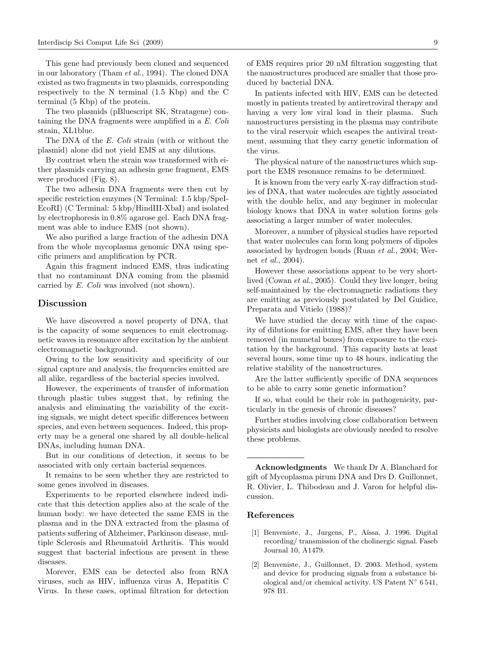This gene had previously been cloned and sequenced in our laboratory (Tham et al., 1994). The cloned DNA existed as two fragments in two plasmids, corresponding respectively to the N terminal (1.5 Kbp) and the C terminal (5 Kbp) of the protein.

The two plasmids (pBluescript SK, Stratagene) containing the DNA fragments were amplified in a E. Coli strain, XL1blue.

The DNA of the E. Coli strain (with or without the plasmid) alone did not yield EMS at any dilutions.

By contrast when the strain was transformed with either plasmids carrying an adhesin gene fragment, EMS were produced (Fig. 8).

The two adhesin DNA fragments were then cut by specific restriction enzymes (N Terminal: 1.5 kbp/SpeI-EcoRI) (C Terminal: 5 kbp/HindIII-XbaI) and isolated by electrophoresis in 0.8% agarose gel. Each DNA fragment was able to induce EMS (not shown).

We also purified a large fraction of the adhesin DNA from the whole mycoplasma genomic DNA using specific primers and amplification by PCR.

Again this fragment induced EMS, thus indicating that no contaminant DNA coming from the plasmid carried by E. Coli was involved (not shown).

## Discussion

We have discovered a novel property of DNA, that is the capacity of some sequences to emit electromagnetic waves in resonance after excitation by the ambient electromagnetic background.

Owing to the low sensitivity and specificity of our signal capture and analysis, the frequencies emitted are all alike, regardless of the bacterial species involved.

However, the experiments of transfer of information through plastic tubes suggest that, by refining the analysis and eliminating the variability of the exciting signals, we might detect specific differences between species, and even between sequences. Indeed, this property may be a general one shared by all double-helical DNAs, including human DNA.

But in our conditions of detection, it seems to be associated with only certain bacterial sequences.

It remains to be seen whether they are restricted to some genes involved in diseases.

Experiments to be reported elsewhere indeed indicate that this detection applies also at the scale of the human body: we have detected the same EMS in the plasma and in the DNA extracted from the plasma of patients suffering of Alzheimer, Parkinson disease, multiple Sclerosis and Rheumatoid Arthritis. This would suggest that bacterial infections are present in these diseases.

Morever, EMS can be detected also from RNA viruses, such as HIV, influenza virus A, Hepatitis C Virus. In these cases, optimal filtration for detection

of EMS requires prior 20 nM filtration suggesting that the nanostructures produced are smaller that those produced by bacterial DNA.

In patients infected with HIV, EMS can be detected mostly in patients treated by antiretroviral therapy and having a very low viral load in their plasma. Such nanostructures persisting in the plasma may contribute to the viral reservoir which escapes the antiviral treatment, assuming that they carry genetic information of the virus.

The physical nature of the nanostructures which support the EMS resonance remains to be determined.

It is known from the very early X-ray diffraction studies of DNA, that water molecules are tightly associated with the double helix, and any beginner in molecular biology knows that DNA in water solution forms gels associating a larger number of water molecules.

Moreover, a number of physical studies have reported that water molecules can form long polymers of dipoles associated by hydrogen bonds (Ruan et al., 2004; Wernet et al., 2004).

However these associations appear to be very shortlived (Cowan et al., 2005). Could they live longer, being self-maintained by the electromagnetic radiations they are emitting as previously postulated by Del Guidice, Preparata and Vitielo (1988)?

We have studied the decay with time of the capacity of dilutions for emitting EMS, after they have been removed (in mumetal boxes) from exposure to the excitation by the background. This capacity lasts at least several hours, some time up to 48 hours, indicating the relative stability of the nanostructures.

Are the latter sufficiently specific of DNA sequences to be able to carry some genetic information?

If so, what could be their role in pathogenicity, particularly in the genesis of chronic diseases?

Further studies involving close collaboration between physicists and biologists are obviously needed to resolve these problems.

Acknowledgments We thank Dr A. Blanchard for gift of Mycoplasma pirum DNA and Drs D. Guillonnet, R. Olivier, L. Thibodeau and J. Varon for helpful discussion.

#### References

- [1] Benveniste, J., Jurgens, P., A¨ıssa, J. 1996. Digital recording/ transmission of the cholinergic signal. Faseb Journal 10, A1479.
- [2] Benveniste, J., Guillonnet, D. 2003. Method, system and device for producing signals from a substance biological and/or chemical activity. US Patent  $N^{\circ}$  6541, 978 B1.